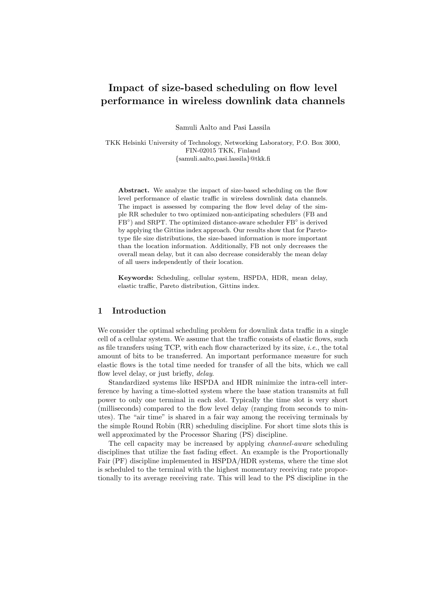# **Impact of size-based scheduling on flow level performance in wireless downlink data channels**

Samuli Aalto and Pasi Lassila

TKK Helsinki University of Technology, Networking Laboratory, P.O. Box 3000, FIN-02015 TKK, Finland {samuli.aalto,pasi.lassila}@tkk.fi

Abstract. We analyze the impact of size-based scheduling on the flow level performance of elastic traffic in wireless downlink data channels. The impact is assessed by comparing the flow level delay of the simple RR scheduler to two optimized non-anticipating schedulers (FB and FB<sup>°</sup>) and SRPT. The optimized distance-aware scheduler FB<sup>°</sup> is derived by applying the Gittins index approach. Our results show that for Paretotype file size distributions, the size-based information is more important than the location information. Additionally, FB not only decreases the overall mean delay, but it can also decrease considerably the mean delay of all users independently of their location.

**Keywords:** Scheduling, cellular system, HSPDA, HDR, mean delay, elastic traffic, Pareto distribution, Gittins index.

## **1 Introduction**

We consider the optimal scheduling problem for downlink data traffic in a single cell of a cellular system. We assume that the traffic consists of elastic flows, such as file transfers using TCP, with each flow characterized by its size, *i.e.*, the total amount of bits to be transferred. An important performance measure for such elastic flows is the total time needed for transfer of all the bits, which we call flow level delay, or just briefly, *delay*.

Standardized systems like HSPDA and HDR minimize the intra-cell interference by having a time-slotted system where the base station transmits at full power to only one terminal in each slot. Typically the time slot is very short (milliseconds) compared to the flow level delay (ranging from seconds to minutes). The "air time" is shared in a fair way among the receiving terminals by the simple Round Robin (RR) scheduling discipline. For short time slots this is well approximated by the Processor Sharing (PS) discipline.

The cell capacity may be increased by applying channel-aware scheduling disciplines that utilize the fast fading effect. An example is the Proportionally Fair (PF) discipline implemented in HSPDA/HDR systems, where the time slot is scheduled to the terminal with the highest momentary receiving rate proportionally to its average receiving rate. This will lead to the PS discipline in the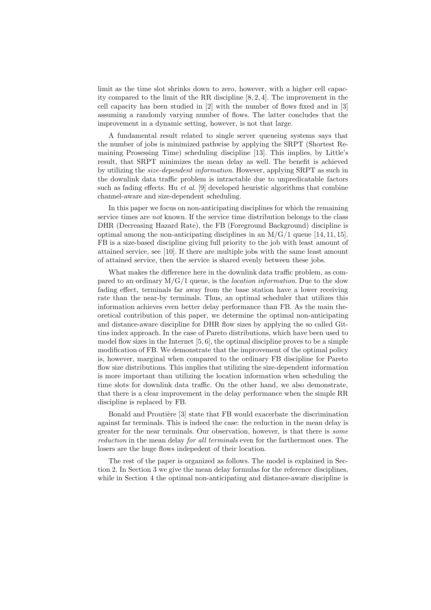limit as the time slot shrinks down to zero, however, with a higher cell capacity compared to the limit of the RR discipline [8, 2, 4]. The improvement in the cell capacity has been studied in [2] with the number of flows fixed and in [3] assuming a randomly varying number of flows. The latter concludes that the improvement in a dynamic setting, however, is not that large.

A fundamental result related to single server queueing systems says that the number of jobs is minimized pathwise by applying the SRPT (Shortest Remaining Prosessing Time) scheduling discipline [13]. This implies, by Little's result, that SRPT minimizes the mean delay as well. The benefit is achieved by utilizing the size-dependent information. However, applying SRPT as such in the downlink data traffic problem is intractable due to unpredicatable factors such as fading effects. Hu *et al.* [9] developed heuristic algorithms that combine channel-aware and size-dependent scheduling.

In this paper we focus on non-anticipating disciplines for which the remaining service times are *not* known. If the service time distribution belongs to the class DHR (Decreasing Hazard Rate), the FB (Foreground Background) discipline is optimal among the non-anticipating disciplines in an  $M/G/1$  queue [14, 11, 15]. FB is a size-based discipline giving full priority to the job with least amount of attained service, see [10]. If there are multiple jobs with the same least amount of attained service, then the service is shared evenly between these jobs.

What makes the difference here in the downlink data traffic problem, as compared to an ordinary  $M/G/1$  queue, is the *location information*. Due to the slow fading effect, terminals far away from the base station have a lower receiving rate than the near-by terminals. Thus, an optimal scheduler that utilizes this information achieves even better delay performance than FB. As the main theoretical contribution of this paper, we determine the optimal non-anticipating and distance-aware discipline for DHR flow sizes by applying the so called Gittins index approach. In the case of Pareto distributions, which have been used to model flow sizes in the Internet  $[5, 6]$ , the optimal discipline proves to be a simple modification of FB. We demonstrate that the improvement of the optimal policy is, however, marginal when compared to the ordinary FB discipline for Pareto flow size distributions. This implies that utilizing the size-dependent information is more important than utilizing the location information when scheduling the time slots for downlink data traffic. On the other hand, we also demonstrate, that there is a clear improvement in the delay performance when the simple RR discipline is replaced by FB.

Bonald and Proutière [3] state that FB would exacerbate the discrimination against far terminals. This is indeed the case: the reduction in the mean delay is greater for the near terminals. Our observation, however, is that there is some reduction in the mean delay for all terminals even for the farthermost ones. The losers are the huge flows indepedent of their location.

The rest of the paper is organized as follows. The model is explained in Section 2. In Section 3 we give the mean delay formulas for the reference disciplines, while in Section 4 the optimal non-anticipating and distance-aware discipline is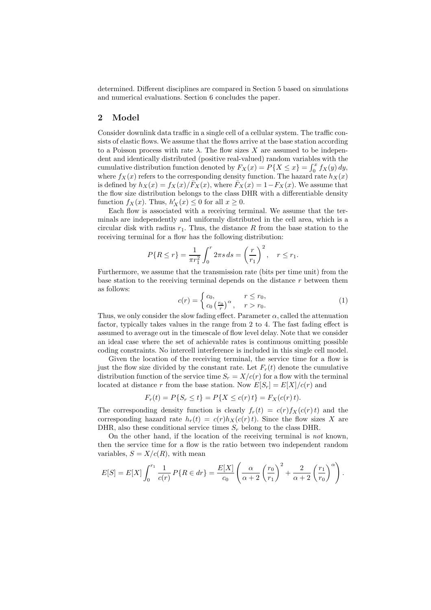determined. Different disciplines are compared in Section 5 based on simulations and numerical evaluations. Section 6 concludes the paper.

# **2 Model**

Consider downlink data traffic in a single cell of a cellular system. The traffic consists of elastic flows. We assume that the flows arrive at the base station according to a Poisson process with rate  $\lambda$ . The flow sizes X are assumed to be independent and identically distributed (positive real-valued) random variables with the cumulative distribution function denoted by  $F_X(x) = P\{X \le x\} = \int_0^x f_X(y) dy$ , where  $f_X(x)$  refers to the corresponding density function. The hazard rate  $h_X(x)$ is defined by  $h_X(x) = f_X(x)/F_X(x)$ , where  $F_X(x) = 1 - F_X(x)$ . We assume that the flow size distribution belongs to the class DHR with a differentiable density function  $f_X(x)$ . Thus,  $h'_X(x) \leq 0$  for all  $x \geq 0$ .

Each flow is associated with a receiving terminal. We assume that the terminals are independently and uniformly distributed in the cell area, which is a circular disk with radius  $r_1$ . Thus, the distance  $R$  from the base station to the receiving terminal for a flow has the following distribution:

$$
P\{R \le r\} = \frac{1}{\pi r_1^2} \int_0^r 2\pi s \, ds = \left(\frac{r}{r_1}\right)^2, \quad r \le r_1.
$$

Furthermore, we assume that the transmission rate (bits per time unit) from the base station to the receiving terminal depends on the distance *r* between them as follows:

$$
c(r) = \begin{cases} c_0, & r \le r_0, \\ c_0 \left(\frac{r_0}{r}\right)^\alpha, & r > r_0. \end{cases}
$$
 (1)

Thus, we only consider the slow fading effect. Parameter  $\alpha$ , called the attenuation factor, typically takes values in the range from 2 to 4. The fast fading effect is assumed to average out in the timescale of flow level delay. Note that we consider an ideal case where the set of achievable rates is continuous omitting possible coding constraints. No intercell interference is included in this single cell model.

Given the location of the receiving terminal, the service time for a flow is just the flow size divided by the constant rate. Let  $F_r(t)$  denote the cumulative distribution function of the service time  $S_r = X/c(r)$  for a flow with the terminal located at distance *r* from the base station. Now  $E[S_r] = E[X]/c(r)$  and

$$
F_r(t) = P\{S_r \le t\} = P\{X \le c(r) t\} = F_X(c(r) t).
$$

The corresponding density function is clearly  $f_r(t) = c(r) f_X(c(r), t)$  and the corresponding hazard rate  $h_r(t) = c(r)h_X(c(r)t)$ . Since the flow sizes X are DHR, also these conditional service times *S*<sup>r</sup> belong to the class DHR.

On the other hand, if the location of the receiving terminal is not known, then the service time for a flow is the ratio between two independent random variables,  $S = X/c(R)$ , with mean

$$
E[S] = E[X] \int_0^{r_1} \frac{1}{c(r)} P\{R \in dr\} = \frac{E[X]}{c_0} \left(\frac{\alpha}{\alpha+2} \left(\frac{r_0}{r_1}\right)^2 + \frac{2}{\alpha+2} \left(\frac{r_1}{r_0}\right)^{\alpha}\right).
$$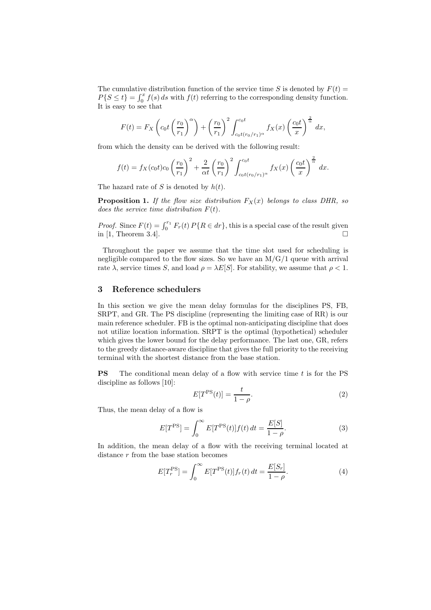The cumulative distribution function of the service time *S* is denoted by  $F(t) =$  $P\{S \leq t\} = \int_0^x f(s) \, ds$  with  $f(t)$  referring to the corresponding density function. It is easy to see that

$$
F(t) = F_X \left( c_0 t \left( \frac{r_0}{r_1} \right)^{\alpha} \right) + \left( \frac{r_0}{r_1} \right)^2 \int_{c_0 t (r_0/r_1)^{\alpha}}^{c_0 t} f_X(x) \left( \frac{c_0 t}{x} \right)^{\frac{2}{\alpha}} dx,
$$

from which the density can be derived with the following result:

$$
f(t) = f_X(c_0 t) c_0 \left(\frac{r_0}{r_1}\right)^2 + \frac{2}{\alpha t} \left(\frac{r_0}{r_1}\right)^2 \int_{c_0 t(r_0/r_1)^\alpha}^{c_0 t} f_X(x) \left(\frac{c_0 t}{x}\right)^{\frac{2}{\alpha}} dx.
$$

The hazard rate of *S* is denoted by *h*(*t*).

**Proposition 1.** If the flow size distribution  $F_X(x)$  belongs to class DHR, so does the service time distribution  $F(t)$ .

*Proof.* Since  $F(t) = \int_0^{r_1} F_r(t) P\{R \in dr\}$ , this is a special case of the result given in [1, Theorem 3.4].

Throughout the paper we assume that the time slot used for scheduling is negligible compared to the flow sizes. So we have an  $M/G/1$  queue with arrival rate  $\lambda$ , service times *S*, and load  $\rho = \lambda E[S]$ . For stability, we assume that  $\rho < 1$ .

# **3 Reference schedulers**

In this section we give the mean delay formulas for the disciplines PS, FB, SRPT, and GR. The PS discipline (representing the limiting case of RR) is our main reference scheduler. FB is the optimal non-anticipating discipline that does not utilize location information. SRPT is the optimal (hypothetical) scheduler which gives the lower bound for the delay performance. The last one, GR, refers to the greedy distance-aware discipline that gives the full priority to the receiving terminal with the shortest distance from the base station.

**PS** The conditional mean delay of a flow with service time *t* is for the PS discipline as follows [10]:

$$
E[T^{PS}(t)] = \frac{t}{1 - \rho}.\tag{2}
$$

Thus, the mean delay of a flow is

$$
E[T^{PS}] = \int_0^\infty E[T^{PS}(t)]f(t) dt = \frac{E[S]}{1 - \rho}.
$$
 (3)

In addition, the mean delay of a flow with the receiving terminal located at distance *r* from the base station becomes

$$
E[T_r^{\rm PS}] = \int_0^\infty E[T^{\rm PS}(t)] f_r(t) dt = \frac{E[S_r]}{1 - \rho}.
$$
 (4)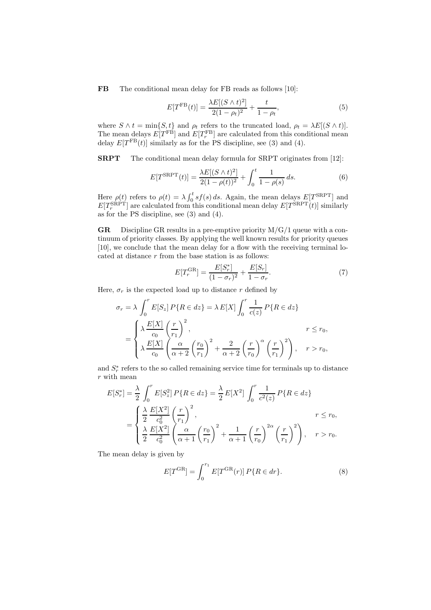**FB** The conditional mean delay for FB reads as follows [10]:

$$
E[T^{\text{FB}}(t)] = \frac{\lambda E[(S \wedge t)^2]}{2(1 - \rho_t)^2} + \frac{t}{1 - \rho_t},\tag{5}
$$

where  $S \wedge t = \min\{S, t\}$  and  $\rho_t$  refers to the truncated load,  $\rho_t = \lambda E[(S \wedge t)].$ The mean delays  $E[T^{\text{FB}}]$  and  $E[T_r^{\text{FB}}]$  are calculated from this conditional mean delay  $E[T^{FB}(t)]$  similarly as for the PS discipline, see (3) and (4).

**SRPT** The conditional mean delay formula for SRPT originates from [12]:

$$
E[T^{\text{SRPT}}(t)] = \frac{\lambda E[(S \wedge t)^2]}{2(1 - \rho(t))^2} + \int_0^t \frac{1}{1 - \rho(s)} ds.
$$
 (6)

Here  $\rho(t)$  refers to  $\rho(t) = \lambda \int_0^t s f(s) ds$ . Again, the mean delays  $E[T^{\rm SRPT}]$  and  $E[T_r^{\rm SRPT}]$  are calculated from this conditional mean delay  $E[T^{\rm SRPT}(t)]$  similarly as for the PS discipline, see (3) and (4).

**GR** Discipline GR results in a pre-emptive priority M/G/1 queue with a continuum of priority classes. By applying the well known results for priority queues [10], we conclude that the mean delay for a flow with the receiving terminal located at distance *r* from the base station is as follows:

$$
E[T_r^{\rm GR}] = \frac{E[S_r^*]}{(1 - \sigma_r)^2} + \frac{E[S_r]}{1 - \sigma_r}.
$$
\n(7)

Here,  $\sigma_r$  is the expected load up to distance *r* defined by

$$
\sigma_r = \lambda \int_0^r E[S_z] P\{R \in dz\} = \lambda E[X] \int_0^r \frac{1}{c(z)} P\{R \in dz\}
$$
  
= 
$$
\begin{cases} \lambda \frac{E[X]}{c_0} \left(\frac{r}{r_1}\right)^2, & r \le r_0, \\ \lambda \frac{E[X]}{c_0} \left(\frac{\alpha}{\alpha + 2} \left(\frac{r_0}{r_1}\right)^2 + \frac{2}{\alpha + 2} \left(\frac{r}{r_0}\right)^{\alpha} \left(\frac{r}{r_1}\right)^2\right), & r > r_0, \end{cases}
$$

and  $S_r^*$  refers to the so called remaining service time for terminals up to distance *r* with mean

$$
E[S_r^*] = \frac{\lambda}{2} \int_0^r E[S_z^2] P\{R \in dz\} = \frac{\lambda}{2} E[X^2] \int_0^r \frac{1}{c^2(z)} P\{R \in dz\}
$$
  

$$
= \begin{cases} \frac{\lambda}{2} \frac{E[X^2]}{c_0^2} \left(\frac{r}{r_1}\right)^2, & r \le r_0, \\ \frac{\lambda}{2} \frac{E[X^2]}{c_0^2} \left(\frac{\alpha}{\alpha+1} \left(\frac{r_0}{r_1}\right)^2 + \frac{1}{\alpha+1} \left(\frac{r}{r_0}\right)^{2\alpha} \left(\frac{r}{r_1}\right)^2\right), & r > r_0. \end{cases}
$$

The mean delay is given by

$$
E[T^{GR}] = \int_0^{r_1} E[T^{GR}(r)] P\{R \in dr\}.
$$
 (8)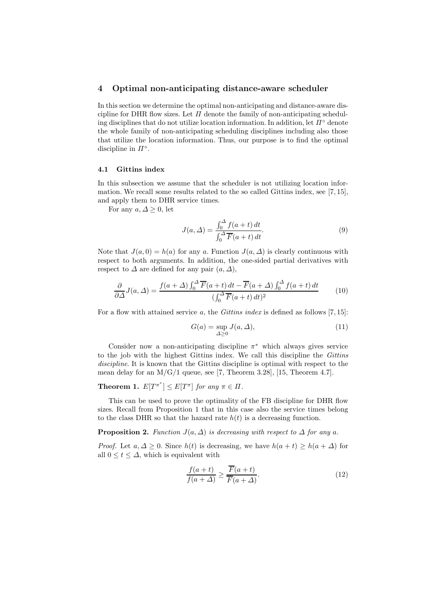### **4 Optimal non-anticipating distance-aware scheduler**

In this section we determine the optimal non-anticipating and distance-aware discipline for DHR flow sizes. Let  $\Pi$  denote the family of non-anticipating scheduling disciplines that do not utilize location information. In addition, let *Π*◦ denote the whole family of non-anticipating scheduling disciplines including also those that utilize the location information. Thus, our purpose is to find the optimal discipline in *Π*◦.

#### **4.1 Gittins index**

In this subsection we assume that the scheduler is not utilizing location information. We recall some results related to the so called Gittins index, see [7, 15], and apply them to DHR service times.

For any  $a, \Delta \geq 0$ , let

$$
J(a, \Delta) = \frac{\int_0^{\Delta} f(a+t) dt}{\int_0^{\Delta} \overline{F}(a+t) dt}.
$$
\n(9)

Note that  $J(a, 0) = h(a)$  for any *a*. Function  $J(a, \Delta)$  is clearly continuous with respect to both arguments. In addition, the one-sided partial derivatives with respect to  $\Delta$  are defined for any pair  $(a, \Delta)$ ,

$$
\frac{\partial}{\partial \Delta}J(a,\Delta) = \frac{f(a+\Delta)\int_0^{\Delta} \overline{F}(a+t) dt - \overline{F}(a+\Delta)\int_0^{\Delta} f(a+t) dt}{(\int_0^{\Delta} \overline{F}(a+t) dt)^2}
$$
(10)

For a flow with attained service a, the Gittins index is defined as follows [7, 15]:

$$
G(a) = \sup_{\Delta \ge 0} J(a, \Delta), \tag{11}
$$

Consider now a non-anticipating discipline  $\pi^*$  which always gives service to the job with the highest Gittins index. We call this discipline the Gittins discipline. It is known that the Gittins discipline is optimal with respect to the mean delay for an  $M/G/1$  queue, see [7, Theorem 3.28], [15, Theorem 4.7].

# **Theorem 1.**  $E[T^{\pi^*}] \leq E[T^{\pi}]$  for any  $\pi \in \Pi$ .

This can be used to prove the optimality of the FB discipline for DHR flow sizes. Recall from Proposition 1 that in this case also the service times belong to the class DHR so that the hazard rate  $h(t)$  is a decreasing function.

**Proposition 2.** Function  $J(a, \Delta)$  is decreasing with respect to  $\Delta$  for any  $a$ .

*Proof.* Let  $a, \Delta \geq 0$ . Since  $h(t)$  is decreasing, we have  $h(a + t) \geq h(a + \Delta)$  for all  $0 \le t \le \Delta$ , which is equivalent with

$$
\frac{f(a+t)}{f(a+\Delta)} \ge \frac{\overline{F}(a+t)}{\overline{F}(a+\Delta)}.
$$
\n(12)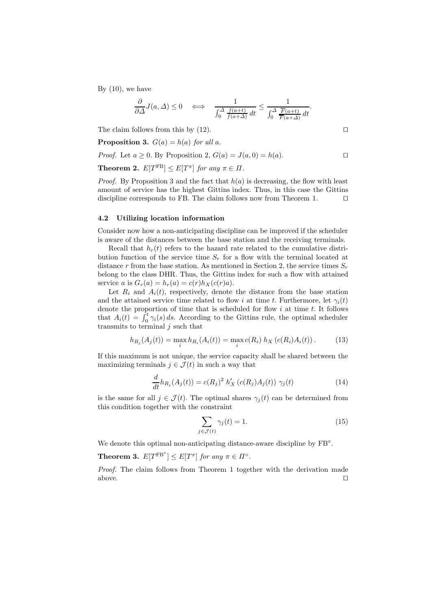By  $(10)$ , we have

$$
\frac{\partial}{\partial \Delta} J(a,\Delta) \le 0 \quad \Longleftrightarrow \quad \frac{1}{\int_0^{\Delta} \frac{f(a+t)}{f(a+\Delta)} dt} \le \frac{1}{\int_0^{\Delta} \frac{\overline{F}(a+t)}{\overline{F}(a+\Delta)} dt}.
$$

The claim follows from this by  $(12)$ .

**Proposition 3.**  $G(a) = h(a)$  for all a.

*Proof.* Let  $a > 0$ . By Proposition 2,  $G(a) = J(a, 0) = h(a)$ .

**Theorem 2.**  $E[T^{FB}] \leq E[T^{\pi}]$  for any  $\pi \in \Pi$ .

*Proof.* By Proposition 3 and the fact that  $h(a)$  is decreasing, the flow with least amount of service has the highest Gittins index. Thus, in this case the Gittins discipline corresponds to FB. The claim follows now from Theorem 1.  $\Box$ 

## **4.2 Utilizing location information**

Consider now how a non-anticipating discipline can be improved if the scheduler is aware of the distances between the base station and the receiving terminals.

Recall that  $h_r(t)$  refers to the hazard rate related to the cumulative distribution function of the service time  $S_r$  for a flow with the terminal located at distance  $r$  from the base station. As mentioned in Section 2, the service times  $S_r$ belong to the class DHR. Thus, the Gittins index for such a flow with attained service *a* is  $G_r(a) = h_r(a) = c(r)h_X(c(r)a)$ .

Let  $R_i$  and  $A_i(t)$ , respectively, denote the distance from the base station and the attained service time related to flow *i* at time *t*. Furthermore, let  $\gamma_i(t)$ denote the proportion of time that is scheduled for flow *i* at time *t*. It follows that  $A_i(t) = \int_0^t \gamma_i(s) ds$ . According to the Gittins rule, the optimal scheduler transmits to terminal *j* such that

$$
h_{R_j}(A_j(t)) = \max_i h_{R_i}(A_i(t)) = \max_i c(R_i) h_X(c(R_i)A_i(t)).
$$
 (13)

If this maximum is not unique, the service capacity shall be shared between the maximizing terminals  $j \in \mathcal{J}(t)$  in such a way that

$$
\frac{d}{dt}h_{R_j}(A_j(t)) = c(R_j)^2 h'_X(c(R_j)A_j(t)) \gamma_j(t)
$$
\n(14)

is the same for all  $j \in \mathcal{J}(t)$ . The optimal shares  $\gamma_i(t)$  can be determined from this condition together with the constraint

$$
\sum_{j \in \mathcal{J}(t)} \gamma_j(t) = 1. \tag{15}
$$

We denote this optimal non-anticipating distance-aware discipline by  $FB<sup>°</sup>$ .

**Theorem 3.**  $E[T^{\text{FB}}] \leq E[T^{\pi}]$  for any  $\pi \in \Pi^{\circ}$ .

Proof. The claim follows from Theorem 1 together with the derivation made above.  $\Box$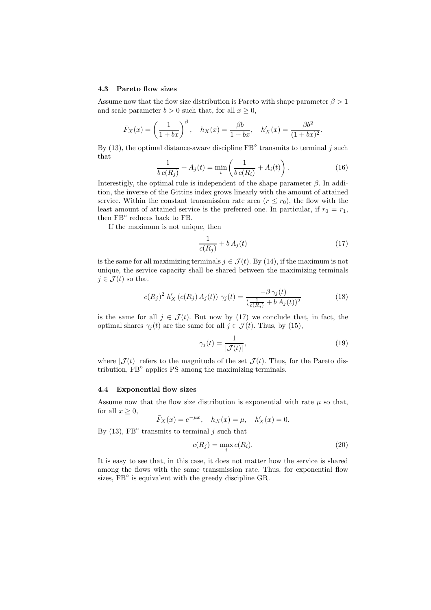#### **4.3 Pareto flow sizes**

Assume now that the flow size distribution is Pareto with shape parameter  $\beta > 1$ and scale parameter  $b > 0$  such that, for all  $x \geq 0$ ,

$$
\bar{F}_X(x) = \left(\frac{1}{1+bx}\right)^{\beta}, \quad h_X(x) = \frac{\beta b}{1+bx}, \quad h'_X(x) = \frac{-\beta b^2}{(1+bx)^2}.
$$

By (13), the optimal distance-aware discipline  $FB<sup>°</sup>$  transmits to terminal *j* such that

$$
\frac{1}{b c(R_j)} + A_j(t) = \min_i \left( \frac{1}{b c(R_i)} + A_i(t) \right).
$$
 (16)

Interestigly, the optimal rule is independent of the shape parameter  $\beta$ . In addition, the inverse of the Gittins index grows linearly with the amount of attained service. Within the constant transmission rate area  $(r \leq r_0)$ , the flow with the least amount of attained service is the preferred one. In particular, if  $r_0 = r_1$ , then FB◦ reduces back to FB.

If the maximum is not unique, then

$$
\frac{1}{c(R_j)} + b A_j(t) \tag{17}
$$

is the same for all maximizing terminals  $j \in \mathcal{J}(t)$ . By (14), if the maximum is not unique, the service capacity shall be shared between the maximizing terminals  $j \in \mathcal{J}(t)$  so that

$$
c(R_j)^2 h'_X (c(R_j) A_j(t)) \gamma_j(t) = \frac{-\beta \gamma_j(t)}{(\frac{1}{c(R_j)} + b A_j(t))^2}
$$
(18)

is the same for all  $j \in \mathcal{J}(t)$ . But now by (17) we conclude that, in fact, the optimal shares  $\gamma_j(t)$  are the same for all  $j \in \mathcal{J}(t)$ . Thus, by (15),

$$
\gamma_j(t) = \frac{1}{|\mathcal{J}(t)|},\tag{19}
$$

where  $|\mathcal{J}(t)|$  refers to the magnitude of the set  $\mathcal{J}(t)$ . Thus, for the Pareto distribution, FB◦ applies PS among the maximizing terminals.

#### **4.4 Exponential flow sizes**

Assume now that the flow size distribution is exponential with rate  $\mu$  so that, for all  $x \geq 0$ ,

$$
\bar{F}_X(x) = e^{-\mu x}, \quad h_X(x) = \mu, \quad h'_X(x) = 0.
$$

By  $(13)$ , FB $\circ$  transmits to terminal *j* such that

$$
c(R_j) = \max_i c(R_i). \tag{20}
$$

It is easy to see that, in this case, it does not matter how the service is shared among the flows with the same transmission rate. Thus, for exponential flow sizes, FB<sup>°</sup> is equivalent with the greedy discipline GR.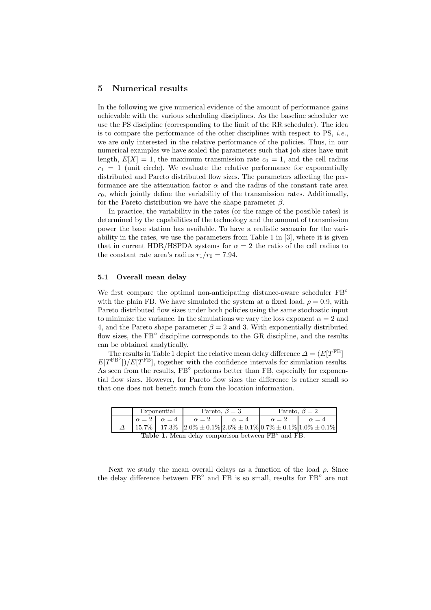## **5 Numerical results**

In the following we give numerical evidence of the amount of performance gains achievable with the various scheduling disciplines. As the baseline scheduler we use the PS discipline (corresponding to the limit of the RR scheduler). The idea is to compare the performance of the other disciplines with respect to  $PS$ , *i.e.*, we are only interested in the relative performance of the policies. Thus, in our numerical examples we have scaled the parameters such that job sizes have unit length,  $E[X] = 1$ , the maximum transmission rate  $c_0 = 1$ , and the cell radius  $r_1 = 1$  (unit circle). We evaluate the relative performance for exponentially distributed and Pareto distributed flow sizes. The parameters affecting the performance are the attenuation factor  $\alpha$  and the radius of the constant rate area *r*0, which jointly define the variability of the transmission rates. Additionally, for the Pareto distribution we have the shape parameter *β*.

In practice, the variability in the rates (or the range of the possible rates) is determined by the capabilities of the technology and the amount of transmission power the base station has available. To have a realistic scenario for the variability in the rates, we use the parameters from Table 1 in [3], where it is given that in current HDR/HSPDA systems for  $\alpha = 2$  the ratio of the cell radius to the constant rate area's radius  $r_1/r_0 = 7.94$ .

#### **5.1 Overall mean delay**

We first compare the optimal non-anticipating distance-aware scheduler FB<sup>°</sup> with the plain FB. We have simulated the system at a fixed load,  $\rho = 0.9$ , with Pareto distributed flow sizes under both policies using the same stochastic input to minimize the variance. In the simulations we vary the loss exponent  $\alpha = 2$  and 4, and the Pareto shape parameter  $\beta = 2$  and 3. With exponentially distributed flow sizes, the FB<sup>°</sup> discipline corresponds to the GR discipline, and the results can be obtained analytically.

The results in Table 1 depict the relative mean delay difference  $\Delta = (E[T^{FB}) E[T^{\text{FB}}]/E[T^{\text{FB}}]$ , together with the confidence intervals for simulation results. As seen from the results,  $FB<sup>°</sup>$  performs better than FB, especially for exponential flow sizes. However, for Pareto flow sizes the difference is rather small so that one does not benefit much from the location information.

|                                                                | Exponential |                           | Pareto, $\beta = 3$                                                                     |              | Pareto, $\beta = 2$ |              |
|----------------------------------------------------------------|-------------|---------------------------|-----------------------------------------------------------------------------------------|--------------|---------------------|--------------|
|                                                                |             | $\alpha = 2$ $\alpha = 4$ | $\alpha=2$                                                                              | $\alpha = 4$ | $\alpha = 2$        | $\alpha = 4$ |
|                                                                |             |                           | $15.7\%$ 17.3\% $2.0\% \pm 0.1\%$ $2.6\% \pm 0.1\%$ $0.7\% \pm 0.1\%$ $1.0\% \pm 0.1\%$ |              |                     |              |
| Takle 1. Moon deler composition between ED <sup>0</sup> and ED |             |                           |                                                                                         |              |                     |              |

**Table 1.** Mean delay comparison between FB◦ and FB.

Next we study the mean overall delays as a function of the load  $\rho$ . Since the delay difference between FB◦ and FB is so small, results for FB◦ are not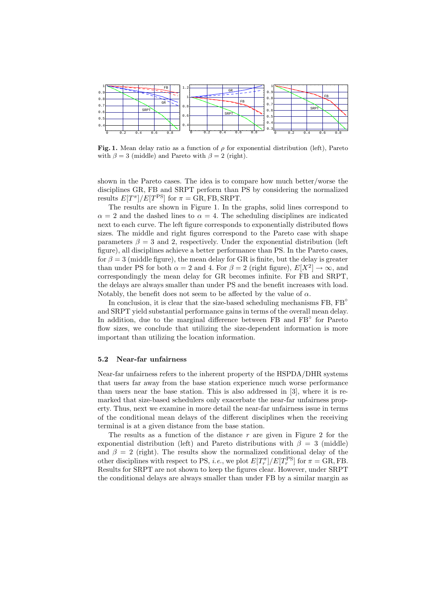

**Fig. 1.** Mean delay ratio as a function of  $\rho$  for exponential distribution (left), Pareto with  $\beta = 3$  (middle) and Pareto with  $\beta = 2$  (right).

shown in the Pareto cases. The idea is to compare how much better/worse the disciplines GR, FB and SRPT perform than PS by considering the normalized results  $E[T^{\pi}]/E[T^{PS}]$  for  $\pi = \text{GR}, \text{FB}, \text{SRPT}.$ 

The results are shown in Figure 1. In the graphs, solid lines correspond to  $\alpha = 2$  and the dashed lines to  $\alpha = 4$ . The scheduling disciplines are indicated next to each curve. The left figure corresponds to exponentially distributed flows sizes. The middle and right figures correspond to the Pareto case with shape parameters  $\beta = 3$  and 2, respectively. Under the exponential distribution (left figure), all disciplines achieve a better performance than PS. In the Pareto cases, for  $\beta = 3$  (middle figure), the mean delay for GR is finite, but the delay is greater than under PS for both  $\alpha = 2$  and 4. For  $\beta = 2$  (right figure),  $E[X^2] \to \infty$ , and correspondingly the mean delay for GR becomes infinite. For FB and SRPT, the delays are always smaller than under PS and the benefit increases with load. Notably, the benefit does not seem to be affected by the value of  $\alpha$ .

In conclusion, it is clear that the size-based scheduling mechanisms FB, FB<sup>°</sup> and SRPT yield substantial performance gains in terms of the overall mean delay. In addition, due to the marginal difference between FB and FB◦ for Pareto flow sizes, we conclude that utilizing the size-dependent information is more important than utilizing the location information.

### **5.2 Near-far unfairness**

Near-far unfairness refers to the inherent property of the HSPDA/DHR systems that users far away from the base station experience much worse performance than users near the base station. This is also addressed in [3], where it is remarked that size-based schedulers only exacerbate the near-far unfairness property. Thus, next we examine in more detail the near-far unfairness issue in terms of the conditional mean delays of the different disciplines when the receiving terminal is at a given distance from the base station.

The results as a function of the distance *r* are given in Figure 2 for the exponential distribution (left) and Pareto distributions with  $\beta = 3$  (middle) and  $\beta = 2$  (right). The results show the normalized conditional delay of the other disciplines with respect to PS, *i.e.*, we plot  $E[T_r^{\pi}] / E[T_r^{\text{PS}}]$  for  $\pi = \text{GR}, \text{FB}$ . Results for SRPT are not shown to keep the figures clear. However, under SRPT the conditional delays are always smaller than under FB by a similar margin as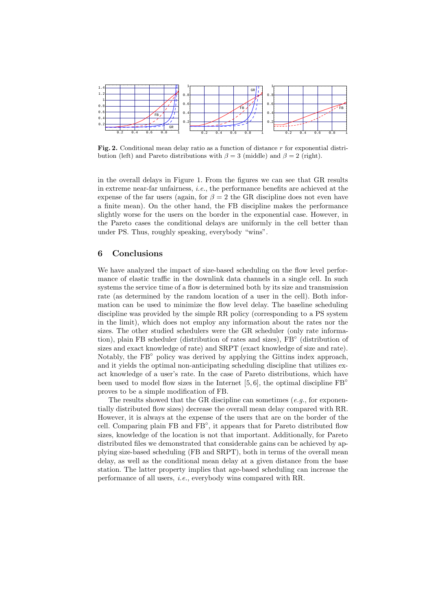

**Fig. 2.** Conditional mean delay ratio as a function of distance r for exponential distribution (left) and Pareto distributions with  $\beta = 3$  (middle) and  $\beta = 2$  (right).

in the overall delays in Figure 1. From the figures we can see that GR results in extreme near-far unfairness, *i.e.*, the performance benefits are achieved at the expense of the far users (again, for  $\beta = 2$  the GR discipline does not even have a finite mean). On the other hand, the FB discipline makes the performance slightly worse for the users on the border in the exponential case. However, in the Pareto cases the conditional delays are uniformly in the cell better than under PS. Thus, roughly speaking, everybody "wins".

# **6 Conclusions**

We have analyzed the impact of size-based scheduling on the flow level performance of elastic traffic in the downlink data channels in a single cell. In such systems the service time of a flow is determined both by its size and transmission rate (as determined by the random location of a user in the cell). Both information can be used to minimize the flow level delay. The baseline scheduling discipline was provided by the simple RR policy (corresponding to a PS system in the limit), which does not employ any information about the rates nor the sizes. The other studied schedulers were the GR scheduler (only rate information), plain FB scheduler (distribution of rates and sizes), FB◦ (distribution of sizes and exact knowledge of rate) and SRPT (exact knowledge of size and rate). Notably, the FB<sup>°</sup> policy was derived by applying the Gittins index approach, and it yields the optimal non-anticipating scheduling discipline that utilizes exact knowledge of a user's rate. In the case of Pareto distributions, which have been used to model flow sizes in the Internet [5, 6], the optimal discipline  $FB<sup>o</sup>$ proves to be a simple modification of FB.

The results showed that the GR discipline can sometimes  $(e.g., for exponent)$ tially distributed flow sizes) decrease the overall mean delay compared with RR. However, it is always at the expense of the users that are on the border of the cell. Comparing plain FB and FB◦, it appears that for Pareto distributed flow sizes, knowledge of the location is not that important. Additionally, for Pareto distributed files we demonstrated that considerable gains can be achieved by applying size-based scheduling (FB and SRPT), both in terms of the overall mean delay, as well as the conditional mean delay at a given distance from the base station. The latter property implies that age-based scheduling can increase the performance of all users, i.e., everybody wins compared with RR.